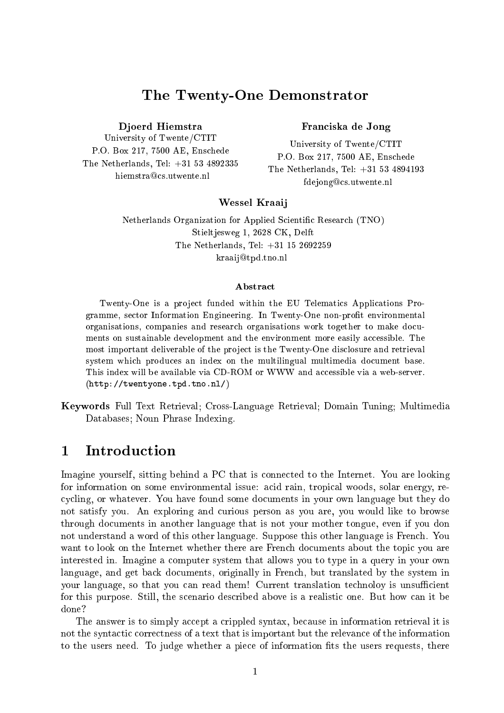# The Twenty-One Demonstrator

Djoerd Hiemstra

University of Twente/CTIT P.O. Box 217, 7500 AE, Enschede The Netherlands, Tel: +31 53 4892335 hiemstra@cs.utwente.nl

# Franciska de Jong

University of Twente/CTIT P.O. Box 217, 7500 AE, Enschede The Netherlands, Tel: +31 53 4894193 fdejong@cs.utwente.nl

# Wessel Kraaij

Netherlands Organization for Applied Scientic Research (TNO) Stieltjesweg 1, 2628 CK, Delft The Netherlands, Tel: +31 15 2692259 kraaij@tpd.tno.nl

# Abstract

Twenty-One is a project funded within the EU Telematics Applications Programme, sector Information Engineering. In Twenty-One non-profit environmental organisations, companies and research organisations work together to make documents on sustainable development and the environment more easily accessible. The most important deliverable of the project is the Twenty-One disclosure and retrieval system which produces an index on the multilingual multimedia document base. This index will be available via CD-ROM or WWW and accessible via a web-server. (http://twentyone.tpd.tno.nl/)

Keywords Full Text Retrieval; Cross-Language Retrieval; Domain Tuning; Multimedia Databases; Noun Phrase Indexing.

#### $\mathbf 1$  Introduction  $\overline{\phantom{0}}$

Imagine yourself, sitting behind a PC that is connected to the Internet. You are looking for information on some environmental issue: acid rain, tropical woods, solar energy, recycling, or whatever. You have found some documents in your own language but they do not satisfy you. An exploring and curious person as you are, you would like to browse through documents in another language that is not your mother tongue, even if you don not understand a word of this other language. Suppose this other language is French. You want to look on the Internet whether there are French documents about the topic you are interested in. Imagine a computer system that allows you to type in a query in your own language, and get back documents, originally in French, but translated by the system in your language, so that you can read them! Current translation technoloy is unsufficient for this purpose. Still, the scenario described above is a realistic one. But how can it be done?

The answer is to simply accept a crippled syntax, because in information retrieval it is not the syntactic correctness of a text that is important but the relevance of the information to the users need. To judge whether a piece of information fits the users requests, there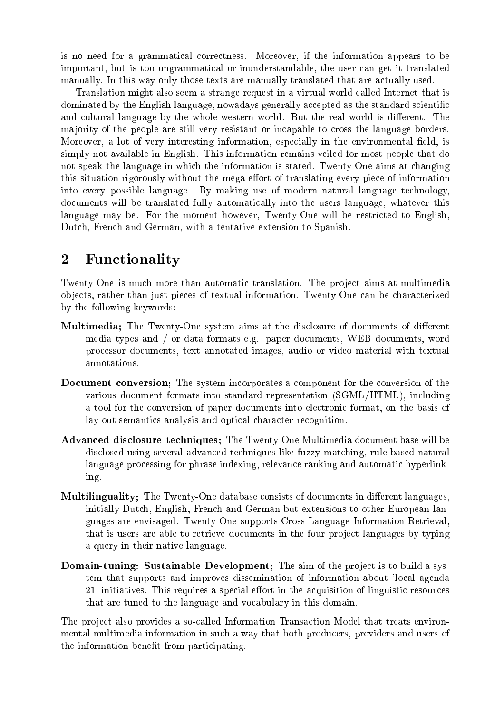is no need for a grammatical correctness. Moreover, if the information appears to be important, but is too ungrammatical or inunderstandable, the user can get it translated manually. In this way only those texts are manually translated that are actually used.

Translation might also seem a strange request in a virtual world called Internet that is dominated by the English language, nowadays generally accepted as the standard scientific and cultural language by the whole western world. But the real world is different. The majority of the people are still very resistant or incapable to cross the language borders. Moreover, a lot of very interesting information, especially in the environmental field, is simply not available in English. This information remains veiled for most people that do not speak the language in which the information is stated. Twenty-One aims at changing this situation rigorously without the mega-effort of translating every piece of information into every possible language. By making use of modern natural language technology, documents will be translated fully automatically into the users language, whatever this language may be. For the moment however, Twenty-One will be restricted to English, Dutch, French and German, with a tentative extension to Spanish.

## 2Functionality

Twenty-One is much more than automatic translation. The project aims at multimedia ob jects, rather than just pieces of textual information. Twenty-One can be characterized by the following keywords:

- Multimedia; The Twenty-One system aims at the disclosure of documents of different media types and / or data formats e.g. paper documents, WEB documents, word processor documents, text annotated images, audio or video material with textual annotations.
- Document conversion; The system incorporates a component for the conversion of the various document formats into standard representation (SGML/HTML), including a tool for the conversion of paper documents into electronic format, on the basis of lay-out semantics analysis and optical character recognition.
- Advanced disclosure techniques; The Twenty-One Multimedia document base will be disclosed using several advanced techniques like fuzzy matching, rule-based natural language processing for phrase indexing, relevance ranking and automatic hyperlinking.
- Multilinguality; The Twenty-One database consists of documents in different languages, initially Dutch, English, French and German but extensions to other European languages are envisaged. Twenty-One supports Cross-Language Information Retrieval, that is users are able to retrieve documents in the four project languages by typing a query in their native language.
- Domain-tuning: Sustainable Development; The aim of the project is to build a system that supports and improves dissemination of information about 'local agenda  $21'$  initiatives. This requires a special effort in the acquisition of linguistic resources that are tuned to the language and vocabulary in this domain.

The project also provides a so-called Information Transaction Model that treats environmental multimedia information in such a way that both producers, providers and users of the information benefit from participating.